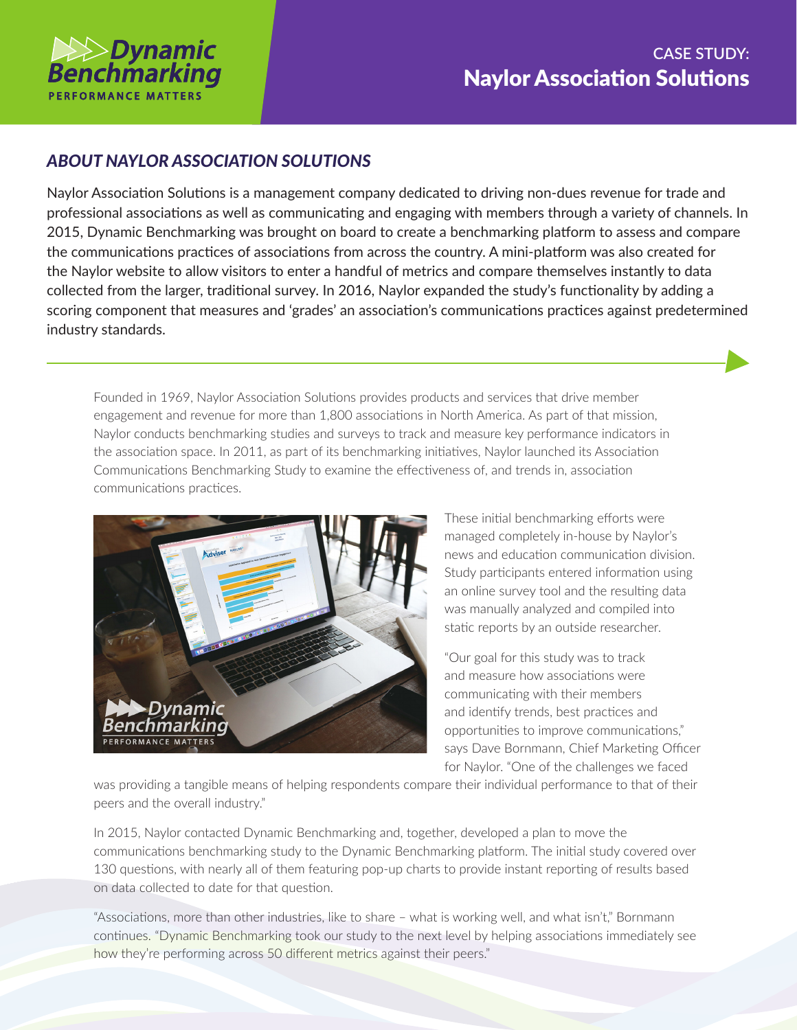

## *ABOUT NAYLOR ASSOCIATION SOLUTIONS*

Naylor Association Solutions is a management company dedicated to driving non-dues revenue for trade and professional associations as well as communicating and engaging with members through a variety of channels. In 2015, Dynamic Benchmarking was brought on board to create a benchmarking platform to assess and compare the communications practices of associations from across the country. A mini-platform was also created for the Naylor website to allow visitors to enter a handful of metrics and compare themselves instantly to data collected from the larger, traditional survey. In 2016, Naylor expanded the study's functionality by adding a scoring component that measures and 'grades' an association's communications practices against predetermined industry standards.

Founded in 1969, Naylor Association Solutions provides products and services that drive member engagement and revenue for more than 1,800 associations in North America. As part of that mission, Naylor conducts benchmarking studies and surveys to track and measure key performance indicators in the association space. In 2011, as part of its benchmarking initiatives, Naylor launched its Association Communications Benchmarking Study to examine the effectiveness of, and trends in, association communications practices.



These initial benchmarking efforts were managed completely in-house by Naylor's news and education communication division. Study participants entered information using an online survey tool and the resulting data was manually analyzed and compiled into static reports by an outside researcher.

"Our goal for this study was to track and measure how associations were communicating with their members and identify trends, best practices and opportunities to improve communications," says Dave Bornmann, Chief Marketing Officer for Naylor. "One of the challenges we faced

was providing a tangible means of helping respondents compare their individual performance to that of their peers and the overall industry."

In 2015, Naylor contacted Dynamic Benchmarking and, together, developed a plan to move the communications benchmarking study to the Dynamic Benchmarking platform. The initial study covered over 130 questions, with nearly all of them featuring pop-up charts to provide instant reporting of results based on data collected to date for that question.

"Associations, more than other industries, like to share – what is working well, and what isn't," Bornmann continues. "Dynamic Benchmarking took our study to the next level by helping associations immediately see how they're performing across 50 different metrics against their peers."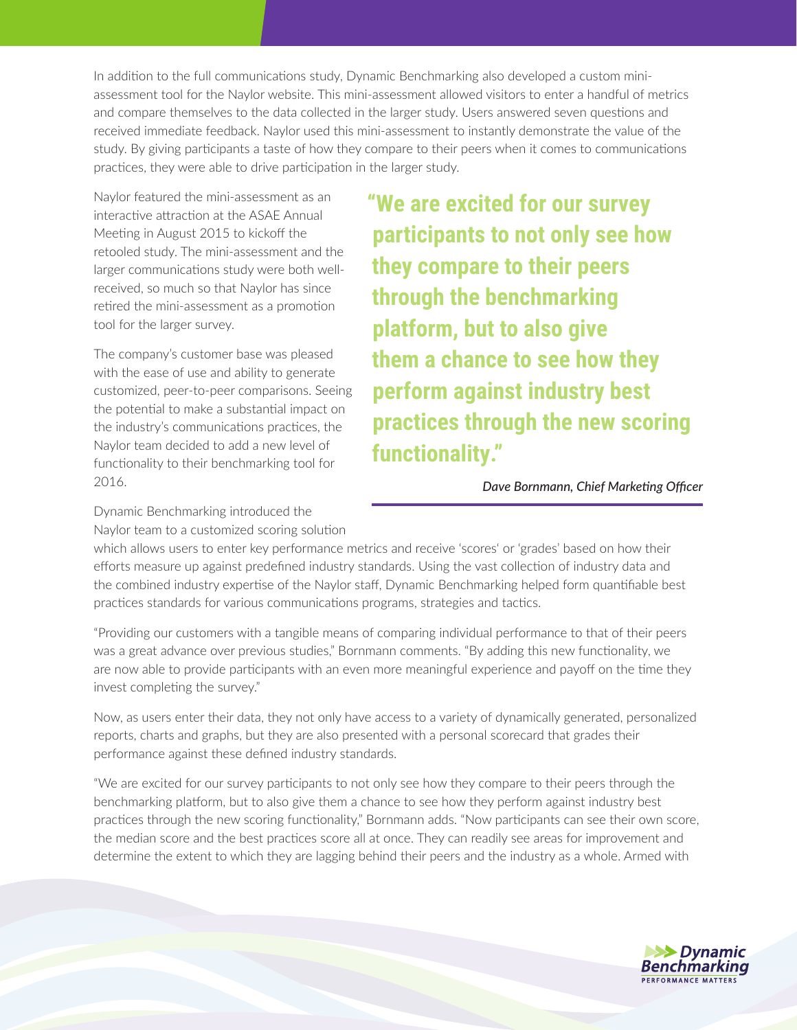In addition to the full communications study, Dynamic Benchmarking also developed a custom miniassessment tool for the Naylor website. This mini-assessment allowed visitors to enter a handful of metrics and compare themselves to the data collected in the larger study. Users answered seven questions and received immediate feedback. Naylor used this mini-assessment to instantly demonstrate the value of the study. By giving participants a taste of how they compare to their peers when it comes to communications practices, they were able to drive participation in the larger study.

Naylor featured the mini-assessment as an interactive attraction at the ASAE Annual Meeting in August 2015 to kickoff the retooled study. The mini-assessment and the larger communications study were both wellreceived, so much so that Naylor has since retired the mini-assessment as a promotion tool for the larger survey.

The company's customer base was pleased with the ease of use and ability to generate customized, peer-to-peer comparisons. Seeing the potential to make a substantial impact on the industry's communications practices, the Naylor team decided to add a new level of functionality to their benchmarking tool for 2016.

**"We are excited for our survey participants to not only see how they compare to their peers through the benchmarking platform, but to also give them a chance to see how they perform against industry best practices through the new scoring functionality."**

*Dave Bornmann, Chief Marketing Officer*

Dynamic Benchmarking introduced the Naylor team to a customized scoring solution

which allows users to enter key performance metrics and receive 'scores' or 'grades' based on how their efforts measure up against predefined industry standards. Using the vast collection of industry data and the combined industry expertise of the Naylor staff, Dynamic Benchmarking helped form quantifiable best practices standards for various communications programs, strategies and tactics.

"Providing our customers with a tangible means of comparing individual performance to that of their peers was a great advance over previous studies," Bornmann comments. "By adding this new functionality, we are now able to provide participants with an even more meaningful experience and payoff on the time they invest completing the survey."

Now, as users enter their data, they not only have access to a variety of dynamically generated, personalized reports, charts and graphs, but they are also presented with a personal scorecard that grades their performance against these defined industry standards.

"We are excited for our survey participants to not only see how they compare to their peers through the benchmarking platform, but to also give them a chance to see how they perform against industry best practices through the new scoring functionality," Bornmann adds. "Now participants can see their own score, the median score and the best practices score all at once. They can readily see areas for improvement and determine the extent to which they are lagging behind their peers and the industry as a whole. Armed with